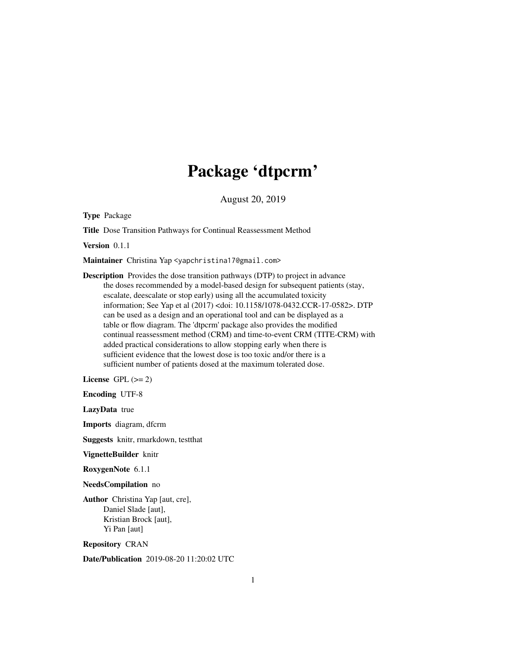# Package 'dtpcrm'

August 20, 2019

Type Package

Title Dose Transition Pathways for Continual Reassessment Method

Version 0.1.1

Maintainer Christina Yap <yapchristina17@gmail.com>

Description Provides the dose transition pathways (DTP) to project in advance the doses recommended by a model-based design for subsequent patients (stay, escalate, deescalate or stop early) using all the accumulated toxicity information; See Yap et al (2017) <doi: 10.1158/1078-0432.CCR-17-0582>. DTP can be used as a design and an operational tool and can be displayed as a table or flow diagram. The 'dtpcrm' package also provides the modified continual reassessment method (CRM) and time-to-event CRM (TITE-CRM) with added practical considerations to allow stopping early when there is sufficient evidence that the lowest dose is too toxic and/or there is a sufficient number of patients dosed at the maximum tolerated dose.

License GPL  $(>= 2)$ 

Encoding UTF-8

LazyData true

Imports diagram, dfcrm

Suggests knitr, rmarkdown, testthat

VignetteBuilder knitr

RoxygenNote 6.1.1

#### NeedsCompilation no

Author Christina Yap [aut, cre], Daniel Slade [aut], Kristian Brock [aut], Yi Pan [aut]

Repository CRAN

Date/Publication 2019-08-20 11:20:02 UTC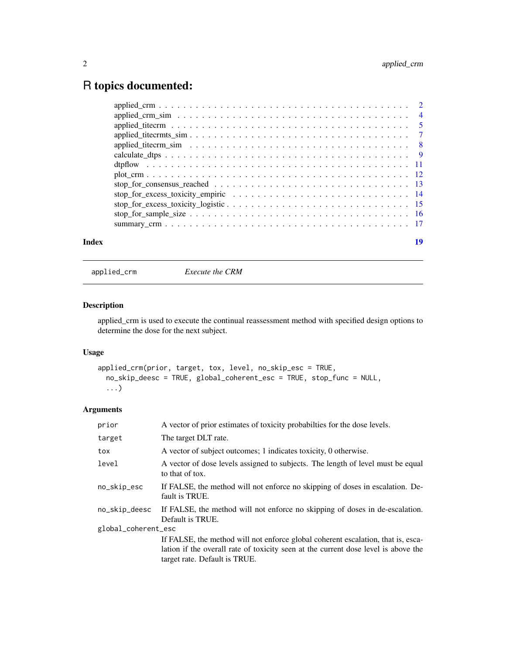# <span id="page-1-0"></span>R topics documented:

applied\_crm *Execute the CRM*

# Description

applied\_crm is used to execute the continual reassessment method with specified design options to determine the dose for the next subject.

# Usage

```
applied_crm(prior, target, tox, level, no_skip_esc = TRUE,
 no_skip_deesc = TRUE, global_coherent_esc = TRUE, stop_func = NULL,
  ...)
```

| prior               | A vector of prior estimates of toxicity probabilties for the dose levels.                          |  |
|---------------------|----------------------------------------------------------------------------------------------------|--|
| target              | The target DLT rate.                                                                               |  |
| tox                 | A vector of subject outcomes; 1 indicates toxicity, 0 otherwise.                                   |  |
| level               | A vector of dose levels assigned to subjects. The length of level must be equal<br>to that of tox. |  |
| no_skip_esc         | If FALSE, the method will not enforce no skipping of doses in escalation. De-<br>fault is TRUE.    |  |
| no_skip_deesc       | If FALSE, the method will not enforce no skipping of doses in de-escalation.<br>Default is TRUE.   |  |
| global_coherent_esc |                                                                                                    |  |
|                     | If FALSE, the method will not enforce global coherent escalation, that is, esca-                   |  |
|                     | lation if the overall rate of toxicity seen at the current dose level is above the                 |  |
|                     | target rate. Default is TRUE.                                                                      |  |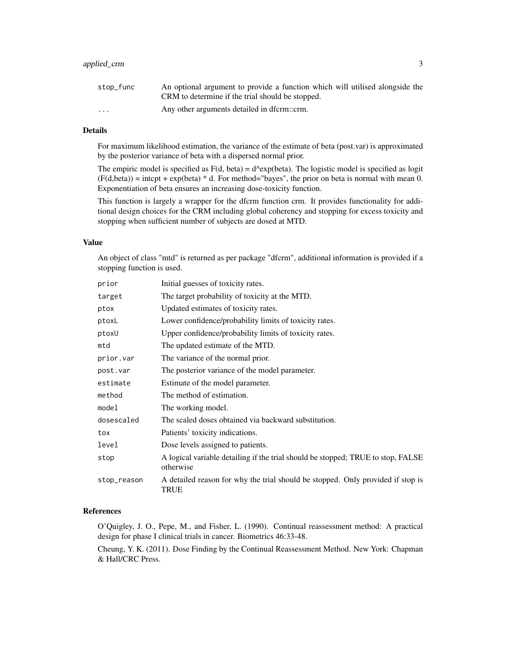# applied\_crm 3

| stop_func               | An optional argument to provide a function which will utilised alongside the |
|-------------------------|------------------------------------------------------------------------------|
|                         | CRM to determine if the trial should be stopped.                             |
| $\cdot$ $\cdot$ $\cdot$ | Any other arguments detailed in dfcrm::crm.                                  |

# Details

For maximum likelihood estimation, the variance of the estimate of beta (post.var) is approximated by the posterior variance of beta with a dispersed normal prior.

The empiric model is specified as  $F(d, beta) = d^{\alpha} exp(beta)$ . The logistic model is specified as logit  $(F(d,beta)) =$  intcpt + exp(beta) \* d. For method="bayes", the prior on beta is normal with mean 0. Exponentiation of beta ensures an increasing dose-toxicity function.

This function is largely a wrapper for the dfcrm function crm. It provides functionality for additional design choices for the CRM including global coherency and stopping for excess toxicity and stopping when sufficient number of subjects are dosed at MTD.

# Value

An object of class "mtd" is returned as per package "dfcrm", additional information is provided if a stopping function is used.

| prior       | Initial guesses of toxicity rates.                                                            |
|-------------|-----------------------------------------------------------------------------------------------|
| target      | The target probability of toxicity at the MTD.                                                |
| ptox        | Updated estimates of toxicity rates.                                                          |
| ptoxL       | Lower confidence/probability limits of toxicity rates.                                        |
| ptoxU       | Upper confidence/probability limits of toxicity rates.                                        |
| mtd         | The updated estimate of the MTD.                                                              |
| prior.var   | The variance of the normal prior.                                                             |
| post.var    | The posterior variance of the model parameter.                                                |
| estimate    | Estimate of the model parameter.                                                              |
| method      | The method of estimation.                                                                     |
| model       | The working model.                                                                            |
| dosescaled  | The scaled doses obtained via backward substitution.                                          |
| tox         | Patients' toxicity indications.                                                               |
| level       | Dose levels assigned to patients.                                                             |
| stop        | A logical variable detailing if the trial should be stopped; TRUE to stop, FALSE<br>otherwise |
| stop_reason | A detailed reason for why the trial should be stopped. Only provided if stop is<br>TRUE       |

# References

O'Quigley, J. O., Pepe, M., and Fisher, L. (1990). Continual reassessment method: A practical design for phase I clinical trials in cancer. Biometrics 46:33-48.

Cheung, Y. K. (2011). Dose Finding by the Continual Reassessment Method. New York: Chapman & Hall/CRC Press.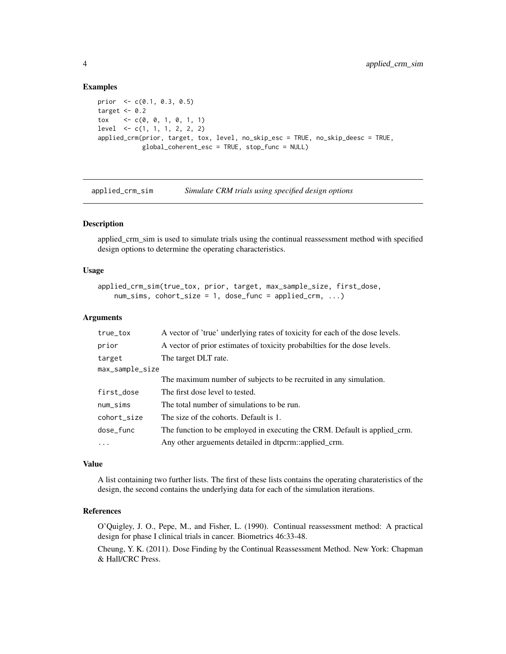```
prior <- c(0.1, 0.3, 0.5)
target <-0.2tox \langle -c(0, 0, 1, 0, 1, 1) \ranglelevel <- c(1, 1, 1, 2, 2, 2)
applied_crm(prior, target, tox, level, no_skip_esc = TRUE, no_skip_deesc = TRUE,
            global_coherent_esc = TRUE, stop_func = NULL)
```
applied\_crm\_sim *Simulate CRM trials using specified design options*

# Description

applied\_crm\_sim is used to simulate trials using the continual reassessment method with specified design options to determine the operating characteristics.

# Usage

```
applied_crm_sim(true_tox, prior, target, max_sample_size, first_dose,
    num\_sims, cohort_size = 1, dose\_func = applied\_crm, ...)
```
# Arguments

| A vector of 'true' underlying rates of toxicity for each of the dose levels. |
|------------------------------------------------------------------------------|
| A vector of prior estimates of toxicity probabilties for the dose levels.    |
| The target DLT rate.                                                         |
| max_sample_size                                                              |
| The maximum number of subjects to be recruited in any simulation.            |
| The first dose level to tested.                                              |
| The total number of simulations to be run.                                   |
| The size of the cohorts. Default is 1.                                       |
| The function to be employed in executing the CRM. Default is applied_crm.    |
| Any other arguements detailed in dtpcrm::applied_crm.                        |
|                                                                              |

#### Value

A list containing two further lists. The first of these lists contains the operating charateristics of the design, the second contains the underlying data for each of the simulation iterations.

# References

O'Quigley, J. O., Pepe, M., and Fisher, L. (1990). Continual reassessment method: A practical design for phase I clinical trials in cancer. Biometrics 46:33-48.

Cheung, Y. K. (2011). Dose Finding by the Continual Reassessment Method. New York: Chapman & Hall/CRC Press.

<span id="page-3-0"></span>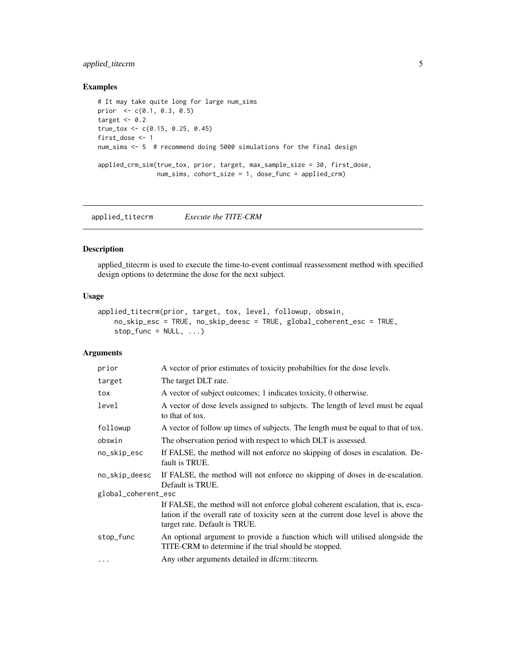# <span id="page-4-0"></span>applied\_titecrm 5

# Examples

```
# It may take quite long for large num_sims
prior <- c(0.1, 0.3, 0.5)
target <-0.2true_tox <- c(0.15, 0.25, 0.45)
first_dose <- 1
num_sims <- 5 # recommend doing 5000 simulations for the final design
applied_crm_sim(true_tox, prior, target, max_sample_size = 30, first_dose,
                num_sims, cohort_size = 1, dose_func = applied_crm)
```
applied\_titecrm *Execute the TITE-CRM*

# Description

applied\_titecrm is used to execute the time-to-event continual reassessment method with specified design options to determine the dose for the next subject.

#### Usage

```
applied_titecrm(prior, target, tox, level, followup, obswin,
   no_skip_esc = TRUE, no_skip_deesc = TRUE, global_coherent_esc = TRUE,
   stop_func = NULL, ...)
```

| prior               | A vector of prior estimates of toxicity probabilties for the dose levels.                                                                                                                               |  |
|---------------------|---------------------------------------------------------------------------------------------------------------------------------------------------------------------------------------------------------|--|
| target              | The target DLT rate.                                                                                                                                                                                    |  |
| tox                 | A vector of subject outcomes; 1 indicates toxicity, 0 otherwise.                                                                                                                                        |  |
| level               | A vector of dose levels assigned to subjects. The length of level must be equal<br>to that of tox.                                                                                                      |  |
| followup            | A vector of follow up times of subjects. The length must be equal to that of tox.                                                                                                                       |  |
| obswin              | The observation period with respect to which DLT is assessed.                                                                                                                                           |  |
| no_skip_esc         | If FALSE, the method will not enforce no skipping of doses in escalation. De-<br>fault is TRUE.                                                                                                         |  |
| no_skip_deesc       | If FALSE, the method will not enforce no skipping of doses in de-escalation.<br>Default is TRUE.                                                                                                        |  |
| global_coherent_esc |                                                                                                                                                                                                         |  |
|                     | If FALSE, the method will not enforce global coherent escalation, that is, esca-<br>lation if the overall rate of toxicity seen at the current dose level is above the<br>target rate. Default is TRUE. |  |
| stop_func           | An optional argument to provide a function which will utilised alongside the<br>TITE-CRM to determine if the trial should be stopped.                                                                   |  |
| $\cdots$            | Any other arguments detailed in dfcrm::titecrm.                                                                                                                                                         |  |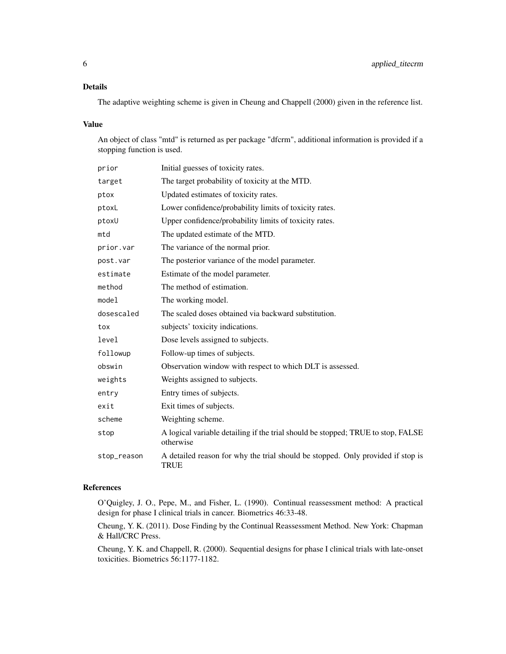# Details

The adaptive weighting scheme is given in Cheung and Chappell (2000) given in the reference list.

# Value

An object of class "mtd" is returned as per package "dfcrm", additional information is provided if a stopping function is used.

| prior       | Initial guesses of toxicity rates.                                                             |
|-------------|------------------------------------------------------------------------------------------------|
| target      | The target probability of toxicity at the MTD.                                                 |
| ptox        | Updated estimates of toxicity rates.                                                           |
| ptoxL       | Lower confidence/probability limits of toxicity rates.                                         |
| ptoxU       | Upper confidence/probability limits of toxicity rates.                                         |
| mtd         | The updated estimate of the MTD.                                                               |
| prior.var   | The variance of the normal prior.                                                              |
| post.var    | The posterior variance of the model parameter.                                                 |
| estimate    | Estimate of the model parameter.                                                               |
| method      | The method of estimation.                                                                      |
| model       | The working model.                                                                             |
| dosescaled  | The scaled doses obtained via backward substitution.                                           |
| tox         | subjects' toxicity indications.                                                                |
| level       | Dose levels assigned to subjects.                                                              |
| followup    | Follow-up times of subjects.                                                                   |
| obswin      | Observation window with respect to which DLT is assessed.                                      |
| weights     | Weights assigned to subjects.                                                                  |
| entry       | Entry times of subjects.                                                                       |
| exit        | Exit times of subjects.                                                                        |
| scheme      | Weighting scheme.                                                                              |
| stop        | A logical variable detailing if the trial should be stopped; TRUE to stop, FALSE<br>otherwise  |
| stop_reason | A detailed reason for why the trial should be stopped. Only provided if stop is<br><b>TRUE</b> |
|             |                                                                                                |

# References

O'Quigley, J. O., Pepe, M., and Fisher, L. (1990). Continual reassessment method: A practical design for phase I clinical trials in cancer. Biometrics 46:33-48.

Cheung, Y. K. (2011). Dose Finding by the Continual Reassessment Method. New York: Chapman & Hall/CRC Press.

Cheung, Y. K. and Chappell, R. (2000). Sequential designs for phase I clinical trials with late-onset toxicities. Biometrics 56:1177-1182.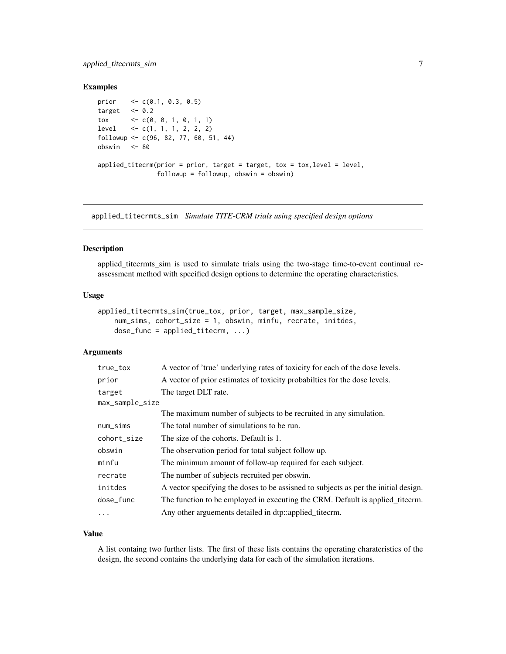# <span id="page-6-0"></span>applied\_titecrmts\_sim 7

# Examples

```
prior <- c(0.1, 0.3, 0.5)
target <-0.2\frac{1}{2} tox \leftarrow c(0, 0, 1, 0, 1, 1)
level \langle -c(1, 1, 1, 2, 2, 2) \ranglefollowup <- c(96, 82, 77, 60, 51, 44)
obswin <- 80
applied\_titerm(prior = prior, target = target, tox = box, level = level,followup = followup, obswin = obswin)
```
applied\_titecrmts\_sim *Simulate TITE-CRM trials using specified design options*

# Description

applied\_titecrmts\_sim is used to simulate trials using the two-stage time-to-event continual reassessment method with specified design options to determine the operating characteristics.

# Usage

```
applied_titecrmts_sim(true_tox, prior, target, max_sample_size,
   num_sims, cohort_size = 1, obswin, minfu, recrate, initdes,
   dose_func = applied_titecrm, ...)
```
# Arguments

| true_tox        | A vector of 'true' underlying rates of toxicity for each of the dose levels.        |
|-----------------|-------------------------------------------------------------------------------------|
| prior           | A vector of prior estimates of toxicity probabilities for the dose levels.          |
| target          | The target DLT rate.                                                                |
| max_sample_size |                                                                                     |
|                 | The maximum number of subjects to be recruited in any simulation.                   |
| $num\_sims$     | The total number of simulations to be run.                                          |
| cohort_size     | The size of the cohorts. Default is 1.                                              |
| obswin          | The observation period for total subject follow up.                                 |
| minfu           | The minimum amount of follow-up required for each subject.                          |
| recrate         | The number of subjects recruited per obswin.                                        |
| initdes         | A vector specifying the doses to be assisted to subjects as per the initial design. |
| dose_func       | The function to be employed in executing the CRM. Default is applied titecrm.       |
| $\cdots$        | Any other arguements detailed in dtp::applied_titecrm.                              |

#### Value

A list containg two further lists. The first of these lists contains the operating charateristics of the design, the second contains the underlying data for each of the simulation iterations.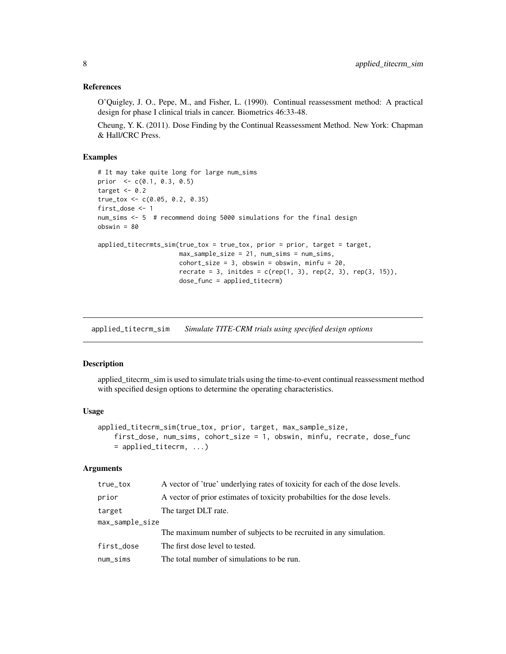# <span id="page-7-0"></span>References

O'Quigley, J. O., Pepe, M., and Fisher, L. (1990). Continual reassessment method: A practical design for phase I clinical trials in cancer. Biometrics 46:33-48.

Cheung, Y. K. (2011). Dose Finding by the Continual Reassessment Method. New York: Chapman & Hall/CRC Press.

# Examples

```
# It may take quite long for large num_sims
prior <- c(0.1, 0.3, 0.5)
target <-0.2true_tox <- c(0.05, 0.2, 0.35)
first_dose <- 1
num_sims <- 5 # recommend doing 5000 simulations for the final design
obswin = 80
applied_titecrmts_sim(true_tox = true_tox, prior = prior, target = target,
                      max_sample_size = 21, num_sims = num_sims,
                      cohort\_size = 3, obswin = obswin, minfu = 20,
                      rccrate = 3, initates = c(rep(1, 3), rep(2, 3), rep(3, 15)),dose_func = applied_titecrm)
```
applied\_titecrm\_sim *Simulate TITE-CRM trials using specified design options*

# Description

applied\_titecrm\_sim is used to simulate trials using the time-to-event continual reassessment method with specified design options to determine the operating characteristics.

#### Usage

```
applied_titecrm_sim(true_tox, prior, target, max_sample_size,
   first_dose, num_sims, cohort_size = 1, obswin, minfu, recrate, dose_func
   = applied_titecrm, ...)
```

| true_tox        | A vector of 'true' underlying rates of toxicity for each of the dose levels. |
|-----------------|------------------------------------------------------------------------------|
| prior           | A vector of prior estimates of toxicity probabilities for the dose levels.   |
| target          | The target DLT rate.                                                         |
| max_sample_size |                                                                              |
|                 | The maximum number of subjects to be recruited in any simulation.            |
| first_dose      | The first dose level to tested.                                              |
| $num\_sims$     | The total number of simulations to be run.                                   |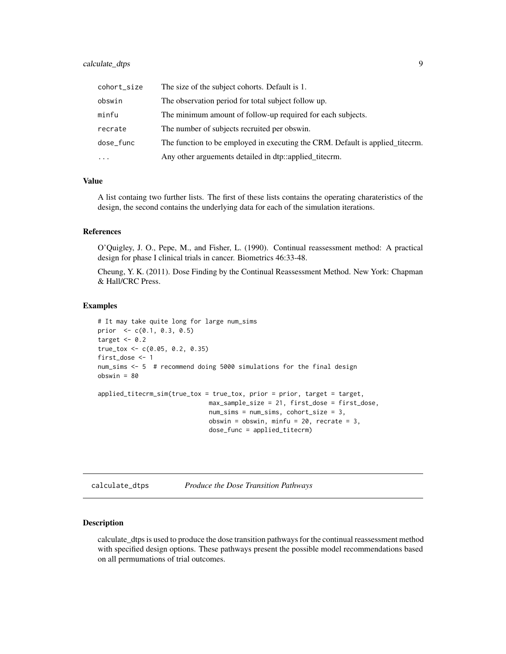# <span id="page-8-0"></span>calculate\_dtps 9

| cohort_size | The size of the subject cohorts. Default is 1.                                |
|-------------|-------------------------------------------------------------------------------|
| obswin      | The observation period for total subject follow up.                           |
| minfu       | The minimum amount of follow-up required for each subjects.                   |
| recrate     | The number of subjects recruited per obswin.                                  |
| dose_func   | The function to be employed in executing the CRM. Default is applied titecrm. |
| $\cdots$    | Any other arguements detailed in dtp::applied_titecrm.                        |

# Value

A list containg two further lists. The first of these lists contains the operating charateristics of the design, the second contains the underlying data for each of the simulation iterations.

# References

O'Quigley, J. O., Pepe, M., and Fisher, L. (1990). Continual reassessment method: A practical design for phase I clinical trials in cancer. Biometrics 46:33-48.

Cheung, Y. K. (2011). Dose Finding by the Continual Reassessment Method. New York: Chapman & Hall/CRC Press.

# Examples

```
# It may take quite long for large num_sims
prior <- c(0.1, 0.3, 0.5)
target <-0.2true_tox <- c(0.05, 0.2, 0.35)
first_dose <- 1
num_sims <- 5 # recommend doing 5000 simulations for the final design
obswin = 80applied_titecrm_sim(true_tox = true_tox, prior = prior, target = target,
                             max_sample_size = 21, first_dose = first_dose,
                             num_sims = num_sims, cohort_size = 3,
                             obswin = obswin, minfu = 20, recrate = 3,
                             dose_func = applied_titecrm)
```
calculate\_dtps *Produce the Dose Transition Pathways*

# **Description**

calculate\_dtps is used to produce the dose transition pathways for the continual reassessment method with specified design options. These pathways present the possible model recommendations based on all permumations of trial outcomes.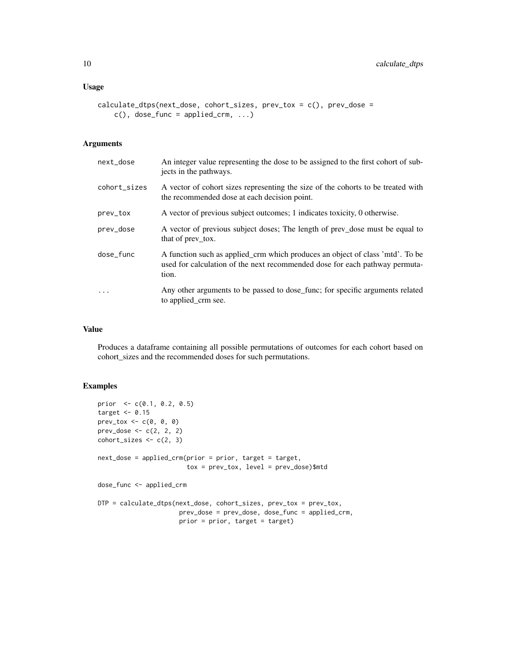# Usage

```
calculate_dtps(next_dose, cohort_sizes, prev_tox = c(), prev_dose =
    c(), dose_func = applied_crm, ...)
```
# Arguments

| next_dose    | An integer value representing the dose to be assigned to the first cohort of sub-<br>jects in the pathways.                                                           |
|--------------|-----------------------------------------------------------------------------------------------------------------------------------------------------------------------|
| cohort_sizes | A vector of cohort sizes representing the size of the cohorts to be treated with<br>the recommended dose at each decision point.                                      |
| prev_tox     | A vector of previous subject outcomes; 1 indicates toxicity, 0 otherwise.                                                                                             |
| prev_dose    | A vector of previous subject doses; The length of prev_dose must be equal to<br>that of prev tox.                                                                     |
| dose_func    | A function such as applied_crm which produces an object of class 'mtd'. To be<br>used for calculation of the next recommended dose for each pathway permuta-<br>tion. |
| $\cdot$      | Any other arguments to be passed to dose_func; for specific arguments related<br>to applied_crm see.                                                                  |

# Value

Produces a dataframe containing all possible permutations of outcomes for each cohort based on cohort\_sizes and the recommended doses for such permutations.

```
prior <- c(0.1, 0.2, 0.5)
target <- 0.15
prev_tox <- c(0, 0, 0)
prev\_dose < -c(2, 2, 2)cohort\_sizes < -c(2, 3)next_dose = applied_crm(prior = prior, target = target,
                        tox = prev_tox, level = prev_dose)$mtd
dose_func <- applied_crm
DTP = calculate_dtps(next_dose, cohort_sizes, prev_tox = prev_tox,
                      prev_dose = prev_dose, dose_func = applied_crm,
                      prior = prior, target = target)
```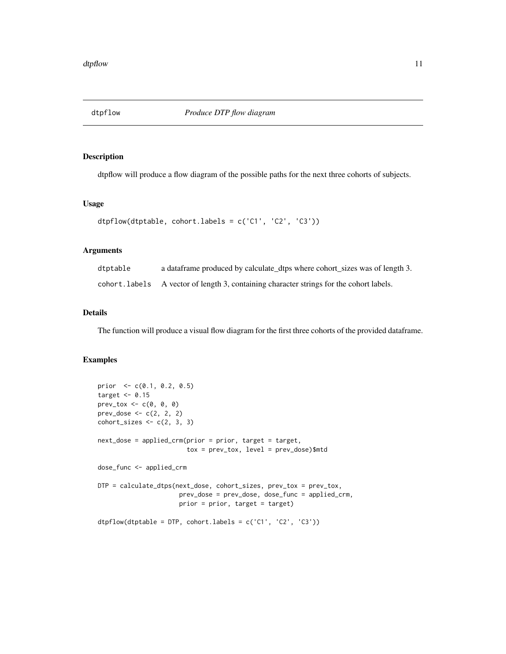<span id="page-10-0"></span>

# Description

dtpflow will produce a flow diagram of the possible paths for the next three cohorts of subjects.

# Usage

```
dtpflow(dtptable, cohort.labels = c('C1', 'C2', 'C3'))
```
# Arguments

| dtptable | a dataframe produced by calculate_dtps where cohort_sizes was of length 3.               |
|----------|------------------------------------------------------------------------------------------|
|          | cohort. labels A vector of length 3, containing character strings for the cohort labels. |

# Details

The function will produce a visual flow diagram for the first three cohorts of the provided dataframe.

```
prior <- c(0.1, 0.2, 0.5)
target <-0.15prev_tox <- c(0, 0, 0)
prev_dose <- c(2, 2, 2)
cohort\_sizes \leftarrow c(2, 3, 3)next_dose = applied_crm(prior = prior, target = target,
                        tox = prev_to x, level = prev_toose)$mtd
dose_func <- applied_crm
DTP = calculate_dtps(next_dose, cohort_sizes, prev_tox = prev_tox,
                      prev_dose = prev_dose, dose_func = applied_crm,
                      prior = prior, target = target)
dtpflow(dtptable = DTP, cohort.labels = c('C1', 'C2', 'C3'))
```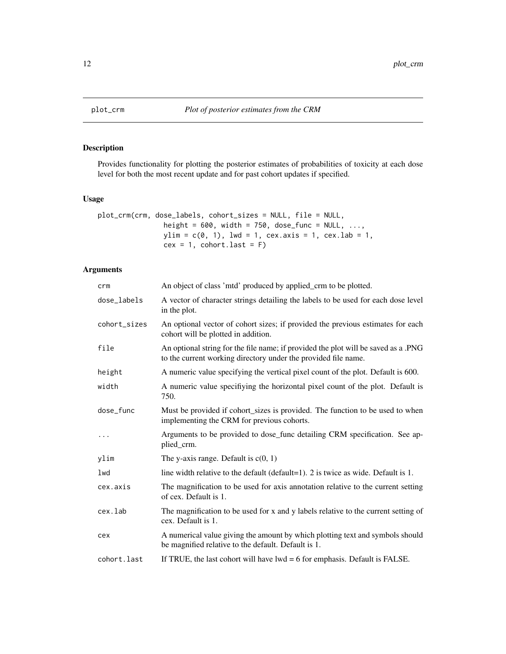<span id="page-11-0"></span>

# Description

Provides functionality for plotting the posterior estimates of probabilities of toxicity at each dose level for both the most recent update and for past cohort updates if specified.

# Usage

```
plot_crm(crm, dose_labels, cohort_sizes = NULL, file = NULL,
                height = 600, width = 750, dose_func = NULL, ...,
               ylim = c(0, 1), lwd = 1, cex.axis = 1, cex.lab = 1,
                cex = 1, cohort-last = F)
```

| crm          | An object of class 'mtd' produced by applied_crm to be plotted.                                                                                      |
|--------------|------------------------------------------------------------------------------------------------------------------------------------------------------|
| dose_labels  | A vector of character strings detailing the labels to be used for each dose level<br>in the plot.                                                    |
| cohort_sizes | An optional vector of cohort sizes; if provided the previous estimates for each<br>cohort will be plotted in addition.                               |
| file         | An optional string for the file name; if provided the plot will be saved as a .PNG<br>to the current working directory under the provided file name. |
| height       | A numeric value specifying the vertical pixel count of the plot. Default is 600.                                                                     |
| width        | A numeric value specifiying the horizontal pixel count of the plot. Default is<br>750.                                                               |
| dose_func    | Must be provided if cohort_sizes is provided. The function to be used to when<br>implementing the CRM for previous cohorts.                          |
| $\ddots$     | Arguments to be provided to dose_func detailing CRM specification. See ap-<br>plied_crm.                                                             |
| ylim         | The y-axis range. Default is $c(0, 1)$                                                                                                               |
| lwd          | line width relative to the default (default=1). 2 is twice as wide. Default is 1.                                                                    |
| cex.axis     | The magnification to be used for axis annotation relative to the current setting<br>of cex. Default is 1.                                            |
| cex.lab      | The magnification to be used for x and y labels relative to the current setting of<br>cex. Default is 1.                                             |
| cex          | A numerical value giving the amount by which plotting text and symbols should<br>be magnified relative to the default. Default is 1.                 |
| cohort.last  | If TRUE, the last cohort will have $lwd = 6$ for emphasis. Default is FALSE.                                                                         |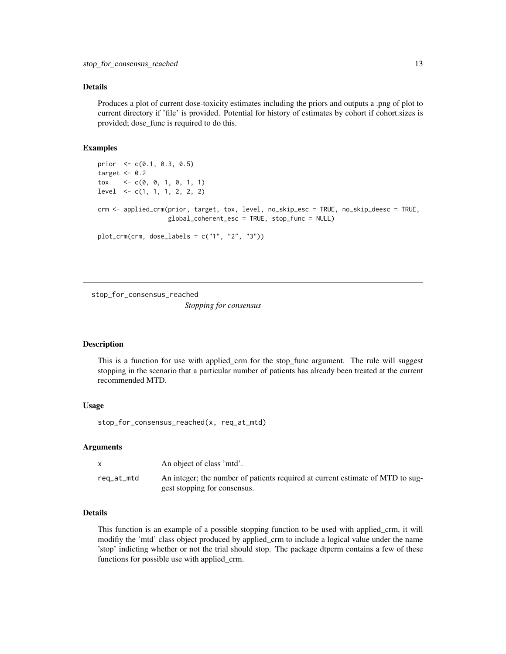# <span id="page-12-0"></span>Details

Produces a plot of current dose-toxicity estimates including the priors and outputs a .png of plot to current directory if 'file' is provided. Potential for history of estimates by cohort if cohort.sizes is provided; dose\_func is required to do this.

# Examples

```
prior <- c(0.1, 0.3, 0.5)
target <-0.2tox \langle -c(0, 0, 1, 0, 1, 1) \ranglelevel <- c(1, 1, 1, 2, 2, 2)
crm <- applied_crm(prior, target, tox, level, no_skip_esc = TRUE, no_skip_deesc = TRUE,
                   global_coherent_esc = TRUE, stop_func = NULL)
plot_crm(crm, dose_labels = c("1", "2", "3"))
```
stop\_for\_consensus\_reached

*Stopping for consensus*

# **Description**

This is a function for use with applied\_crm for the stop\_func argument. The rule will suggest stopping in the scenario that a particular number of patients has already been treated at the current recommended MTD.

# Usage

stop\_for\_consensus\_reached(x, req\_at\_mtd)

#### Arguments

|            | An object of class 'mtd'.                                                                                      |
|------------|----------------------------------------------------------------------------------------------------------------|
| req_at_mtd | An integer; the number of patients required at current estimate of MTD to sug-<br>gest stopping for consensus. |

# Details

This function is an example of a possible stopping function to be used with applied\_crm, it will modifiy the 'mtd' class object produced by applied\_crm to include a logical value under the name 'stop' indicting whether or not the trial should stop. The package dtpcrm contains a few of these functions for possible use with applied\_crm.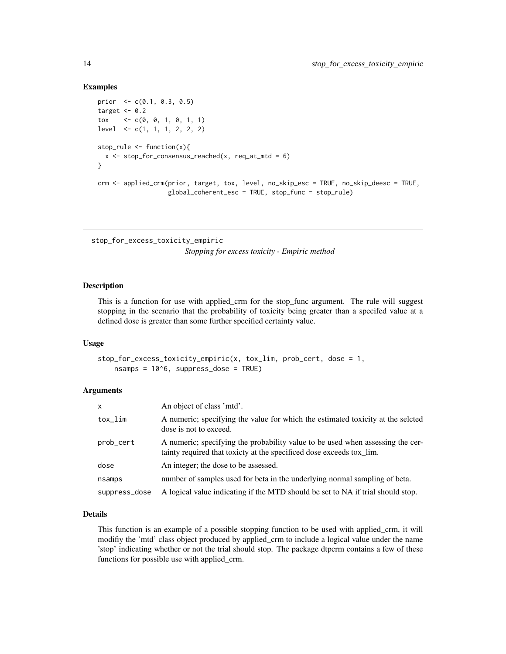```
prior <- c(0.1, 0.3, 0.5)
target <-0.2tox \langle -c(0, 0, 1, 0, 1, 1) \ranglelevel <- c(1, 1, 1, 2, 2, 2)
stop_rule <- function(x){
  x \le stop_for_consensus_reached(x, req_at_mtd = 6)
}
crm <- applied_crm(prior, target, tox, level, no_skip_esc = TRUE, no_skip_deesc = TRUE,
                   global_coherent_esc = TRUE, stop_func = stop_rule)
```
stop\_for\_excess\_toxicity\_empiric

*Stopping for excess toxicity - Empiric method*

# Description

This is a function for use with applied\_crm for the stop\_func argument. The rule will suggest stopping in the scenario that the probability of toxicity being greater than a specifed value at a defined dose is greater than some further specified certainty value.

#### Usage

```
stop_for_excess_toxicity_empiric(x, tox_lim, prob_cert, dose = 1,
    nsamps = 10<sup>6</sup>, suppress_dose = TRUE)
```
# Arguments

| X             | An object of class 'mtd'.                                                                                                                              |
|---------------|--------------------------------------------------------------------------------------------------------------------------------------------------------|
| tox_lim       | A numeric; specifying the value for which the estimated toxicity at the seleted<br>dose is not to exceed.                                              |
| prob_cert     | A numeric; specifying the probability value to be used when assessing the cer-<br>tainty required that toxicty at the specificed dose exceeds tox_lim. |
| dose          | An integer; the dose to be assessed.                                                                                                                   |
| nsamps        | number of samples used for beta in the underlying normal sampling of beta.                                                                             |
| suppress_dose | A logical value indicating if the MTD should be set to NA if trial should stop.                                                                        |

# Details

This function is an example of a possible stopping function to be used with applied\_crm, it will modifiy the 'mtd' class object produced by applied\_crm to include a logical value under the name 'stop' indicating whether or not the trial should stop. The package dtpcrm contains a few of these functions for possible use with applied\_crm.

<span id="page-13-0"></span>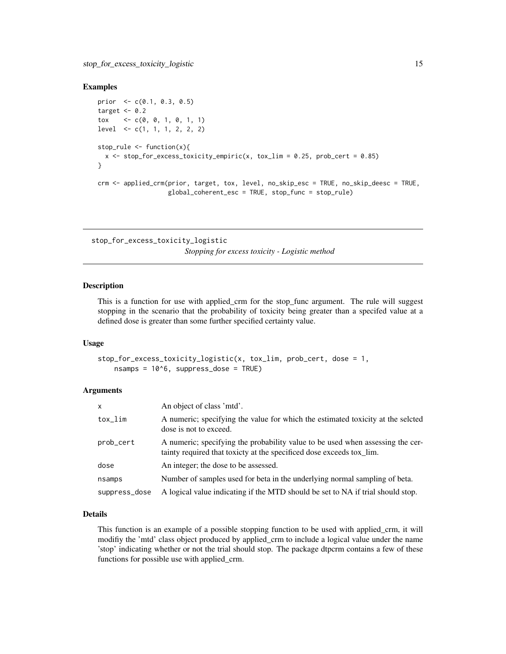```
prior <- c(0.1, 0.3, 0.5)
target <-0.2tox \langle -c(0, 0, 1, 0, 1, 1) \ranglelevel <- c(1, 1, 1, 2, 2, 2)
stop_rule <- function(x){
  x \le - stop_for_excess_toxicity_empiric(x, tox_lim = 0.25, prob_cert = 0.85)
}
crm <- applied_crm(prior, target, tox, level, no_skip_esc = TRUE, no_skip_deesc = TRUE,
                   global_coherent_esc = TRUE, stop_func = stop_rule)
```
stop\_for\_excess\_toxicity\_logistic

# *Stopping for excess toxicity - Logistic method*

# Description

This is a function for use with applied\_crm for the stop\_func argument. The rule will suggest stopping in the scenario that the probability of toxicity being greater than a specifed value at a defined dose is greater than some further specified certainty value.

#### Usage

```
stop_for_excess_toxicity_logistic(x, tox_lim, prob_cert, dose = 1,
    nsamps = 10<sup>6</sup>, suppress_dose = TRUE)
```
# Arguments

| $\mathsf{x}$  | An object of class 'mtd'.                                                                                                                              |
|---------------|--------------------------------------------------------------------------------------------------------------------------------------------------------|
| tox_lim       | A numeric; specifying the value for which the estimated toxicity at the seleted<br>dose is not to exceed.                                              |
| prob_cert     | A numeric; specifying the probability value to be used when assessing the cer-<br>tainty required that toxicty at the specificed dose exceeds tox_lim. |
| dose          | An integer; the dose to be assessed.                                                                                                                   |
| nsamps        | Number of samples used for beta in the underlying normal sampling of beta.                                                                             |
| suppress_dose | A logical value indicating if the MTD should be set to NA if trial should stop.                                                                        |

# Details

This function is an example of a possible stopping function to be used with applied\_crm, it will modifiy the 'mtd' class object produced by applied\_crm to include a logical value under the name 'stop' indicating whether or not the trial should stop. The package dtpcrm contains a few of these functions for possible use with applied\_crm.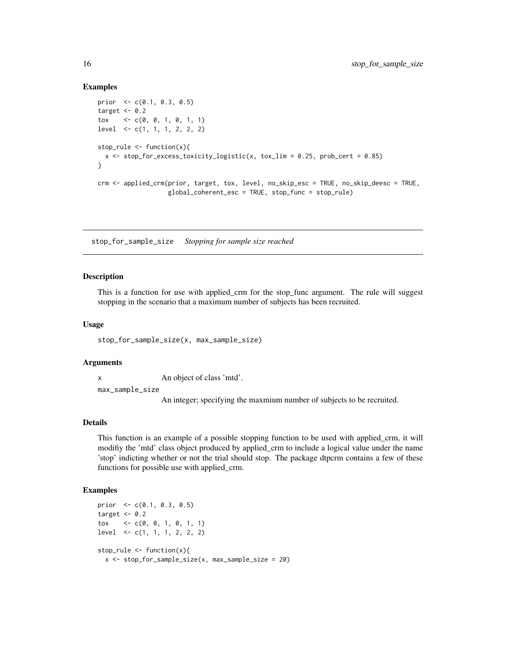```
prior \leq c(0.1, 0.3, 0.5)target <-0.2tox \langle -c(0, 0, 1, 0, 1, 1) \ranglelevel <- c(1, 1, 1, 2, 2, 2)
stop_rule <- function(x){
  x \leftarrow stop\_for\_excess\_toxicity\_logistic(x, tox\_lim = 0.25, prob\_cert = 0.85)}
crm <- applied_crm(prior, target, tox, level, no_skip_esc = TRUE, no_skip_deesc = TRUE,
                    global_coherent_esc = TRUE, stop_func = stop_rule)
```
stop\_for\_sample\_size *Stopping for sample size reached*

#### Description

This is a function for use with applied\_crm for the stop\_func argument. The rule will suggest stopping in the scenario that a maximum number of subjects has been recruited.

#### Usage

stop\_for\_sample\_size(x, max\_sample\_size)

# **Arguments**

x An object of class 'mtd'.

max\_sample\_size

An integer; specifying the maxmium number of subjects to be recruited.

# Details

This function is an example of a possible stopping function to be used with applied\_crm, it will modifiy the 'mtd' class object produced by applied\_crm to include a logical value under the name 'stop' indicting whether or not the trial should stop. The package dtpcrm contains a few of these functions for possible use with applied\_crm.

```
prior <- c(0.1, 0.3, 0.5)
target <-0.2tox \langle -c(0, 0, 1, 0, 1, 1) \ranglelevel <- c(1, 1, 1, 2, 2, 2)
stop_rule <- function(x){
  x <- stop_for_sample_size(x, max_sample_size = 20)
```
<span id="page-15-0"></span>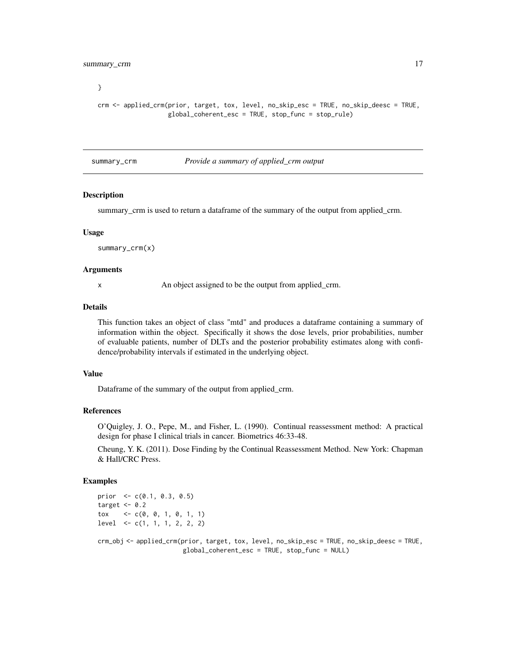<span id="page-16-0"></span>}

```
crm <- applied_crm(prior, target, tox, level, no_skip_esc = TRUE, no_skip_deesc = TRUE,
                   global_coherent_esc = TRUE, stop_func = stop_rule)
```
summary\_crm *Provide a summary of applied\_crm output*

#### Description

summary\_crm is used to return a dataframe of the summary of the output from applied\_crm.

#### Usage

summary\_crm(x)

# Arguments

x An object assigned to be the output from applied\_crm.

#### Details

This function takes an object of class "mtd" and produces a dataframe containing a summary of information within the object. Specifically it shows the dose levels, prior probabilities, number of evaluable patients, number of DLTs and the posterior probability estimates along with confidence/probability intervals if estimated in the underlying object.

# Value

Dataframe of the summary of the output from applied\_crm.

#### References

O'Quigley, J. O., Pepe, M., and Fisher, L. (1990). Continual reassessment method: A practical design for phase I clinical trials in cancer. Biometrics 46:33-48.

Cheung, Y. K. (2011). Dose Finding by the Continual Reassessment Method. New York: Chapman & Hall/CRC Press.

```
prior \leq c(0.1, 0.3, 0.5)target <-0.2tox \langle -c(0, 0, 1, 0, 1, 1) \ranglelevel <- c(1, 1, 1, 2, 2, 2)
crm_obj <- applied_crm(prior, target, tox, level, no_skip_esc = TRUE, no_skip_deesc = TRUE,
                        global_coherent_esc = TRUE, stop_func = NULL)
```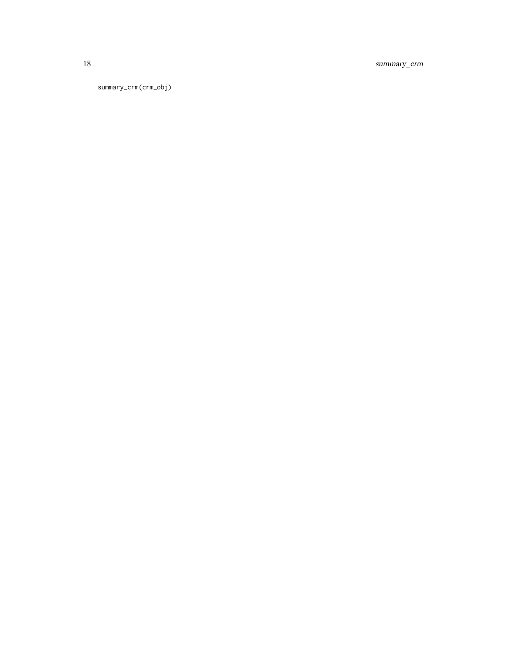18 summary\_crm

summary\_crm(crm\_obj)